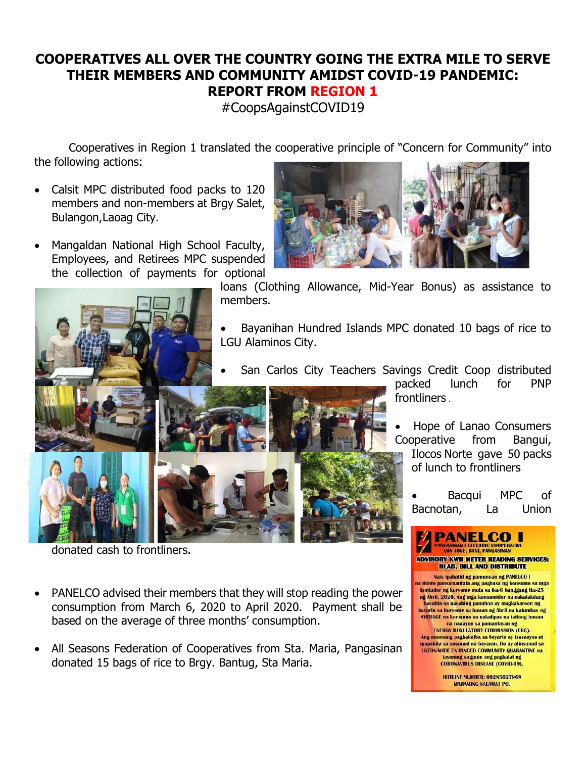## **COOPERATIVES ALL OVER THE COUNTRY GOING THE EXTRA MILE TO SERVE THEIR MEMBERS AND COMMUNITY AMIDST COVID-19 PANDEMIC: REPORT FROM REGION 1**

#CoopsAgainstCOVID19

Cooperatives in Region 1 translated the cooperative principle of "Concern for Community" into the following actions:

- Calsit MPC distributed food packs to 120 members and non-members at Brgy Salet, Bulangon,Laoag City.
- Mangaldan National High School Faculty, Employees, and Retirees MPC suspended the collection of payments for optional



donated cash to frontliners.

- PANELCO advised their members that they will stop reading the power consumption from March 6, 2020 to April 2020. Payment shall be based on the average of three months' consumption.
- All Seasons Federation of Cooperatives from Sta. Maria, Pangasinan donated 15 bags of rice to Brgy. Bantug, Sta Maria.



loans (Clothing Allowance, Mid-Year Bonus) as assistance to members.

- Bayanihan Hundred Islands MPC donated 10 bags of rice to LGU Alaminos City.
- San Carlos City Teachers Savings Credit Coop distributed

packed lunch for PNP frontliners .

• Hope of Lanao Consumers Cooperative from Bangui, Ilocos Norte gave 50 packs

of lunch to frontliners

Bacqui MPC of Bacnotan, La Union

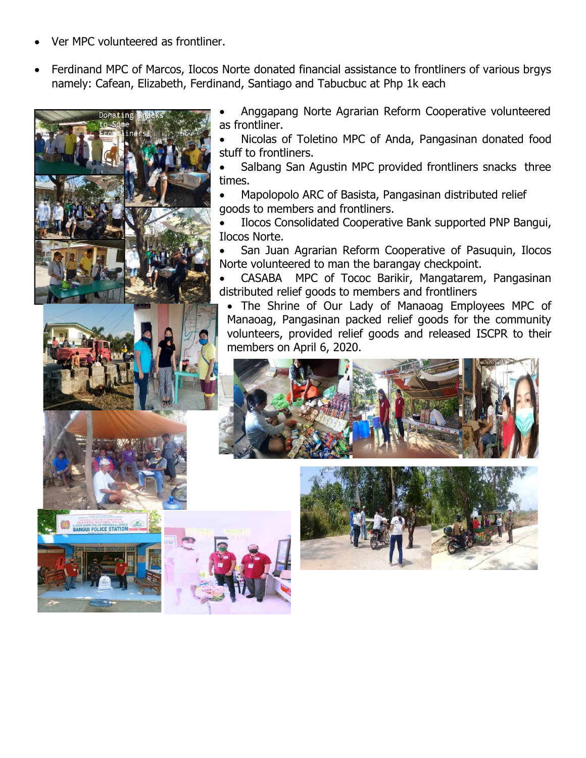- Ver MPC volunteered as frontliner.
- Ferdinand MPC of Marcos, Ilocos Norte donated financial assistance to frontliners of various brgys namely: Cafean, Elizabeth, Ferdinand, Santiago and Tabucbuc at Php 1k each



• Anggapang Norte Agrarian Reform Cooperative volunteered as frontliner.

• Nicolas of Toletino MPC of Anda, Pangasinan donated food stuff to frontliners.

Salbang San Agustin MPC provided frontliners snacks three times.

• Mapolopolo ARC of Basista, Pangasinan distributed relief goods to members and frontliners.

• Ilocos Consolidated Cooperative Bank supported PNP Bangui, Ilocos Norte.

• San Juan Agrarian Reform Cooperative of Pasuquin, Ilocos Norte volunteered to man the barangay checkpoint.

• CASABA MPC of Tococ Barikir, Mangatarem, Pangasinan distributed relief goods to members and frontliners

• The Shrine of Our Lady of Manaoag Employees MPC of Manaoag, Pangasinan packed relief goods for the community volunteers, provided relief goods and released ISCPR to their members on April 6, 2020.